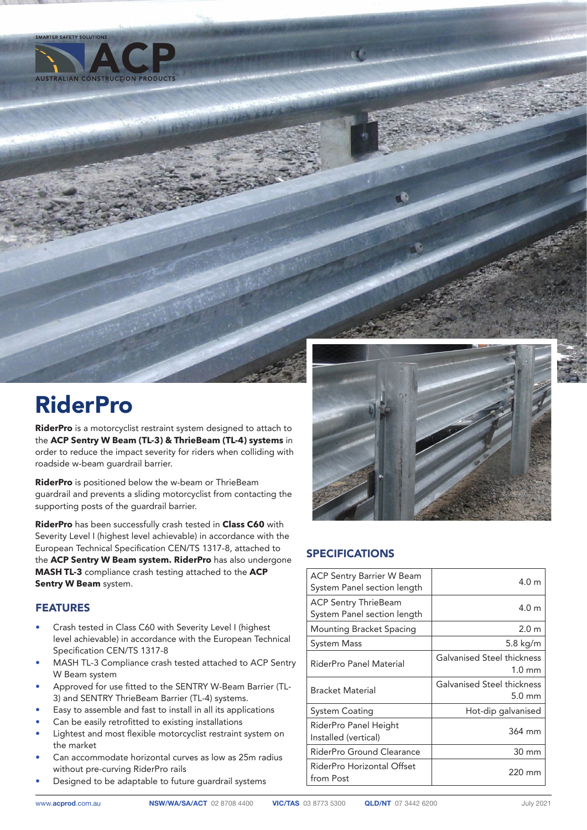

**SMARTER SAFETY SOLUTIO** 

## RiderPro

**RiderPro** is a motorcyclist restraint system designed to attach to the **ACP Sentry W Beam (TL-3) & ThrieBeam (TL-4) systems** in order to reduce the impact severity for riders when colliding with roadside w-beam guardrail barrier.

**RiderPro** is positioned below the w-beam or ThrieBeam guardrail and prevents a sliding motorcyclist from contacting the supporting posts of the guardrail barrier.

**RiderPro** has been successfully crash tested in **Class C60** with Severity Level I (highest level achievable) in accordance with the European Technical Specification CEN/TS 1317-8, attached to the **ACP Sentry W Beam system. RiderPro** has also undergone **MASH TL-3** compliance crash testing attached to the **ACP Sentry W Beam** system.

## FEATURES

- Crash tested in Class C60 with Severity Level I (highest level achievable) in accordance with the European Technical Specification CEN/TS 1317-8
- MASH TL-3 Compliance crash tested attached to ACP Sentry W Beam system
- Approved for use fitted to the SENTRY W-Beam Barrier (TL-3) and SENTRY ThrieBeam Barrier (TL-4) systems.
- Easy to assemble and fast to install in all its applications
- Can be easily retrofitted to existing installations
- Lightest and most flexible motorcyclist restraint system on the market
- Can accommodate horizontal curves as low as 25m radius without pre-curving RiderPro rails
- Designed to be adaptable to future guardrail systems



## SPECIFICATIONS

| <b>ACP Sentry Barrier W Beam</b><br>System Panel section length | 4.0 <sub>m</sub>                               |
|-----------------------------------------------------------------|------------------------------------------------|
| ACP Sentry ThrieBeam<br>System Panel section length             | 4.0 <sub>m</sub>                               |
| Mounting Bracket Spacing                                        | 2.0 <sub>m</sub>                               |
| System Mass                                                     | 5.8 kg/m                                       |
| RiderPro Panel Material                                         | Galvanised Steel thickness<br>$1.0 \text{ mm}$ |
| <b>Bracket Material</b>                                         | Galvanised Steel thickness<br>$5.0 \text{ mm}$ |
| System Coating                                                  | Hot-dip galvanised                             |
| RiderPro Panel Height<br>Installed (vertical)                   | 364 mm                                         |
| RiderPro Ground Clearance                                       | 30 mm                                          |
| RiderPro Horizontal Offset<br>from Post                         | 220 mm                                         |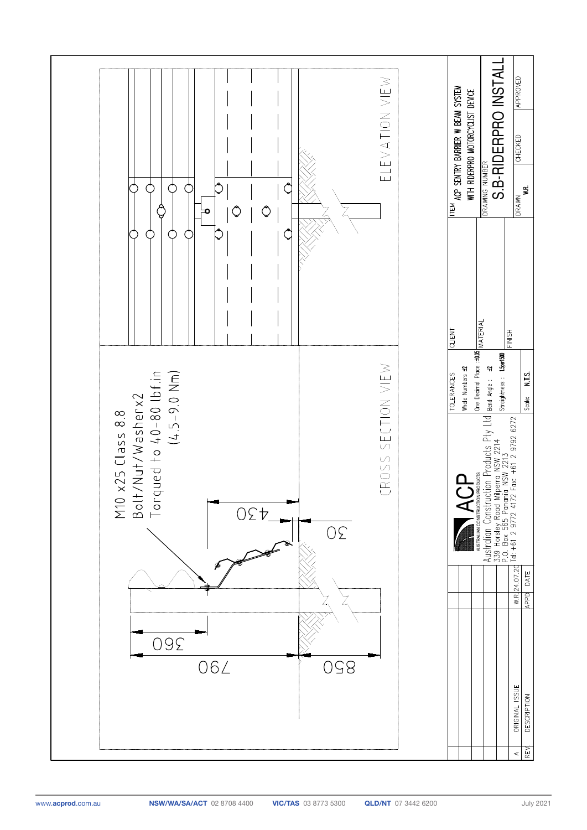